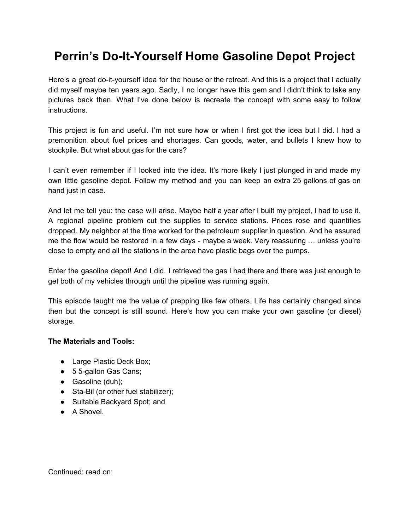# **Perrin's Do-It-Yourself Home Gasoline Depot Project**

Here's a great do-it-yourself idea for the house or the retreat. And this is a project that I actually did myself maybe ten years ago. Sadly, I no longer have this gem and I didn't think to take any pictures back then. What I've done below is recreate the concept with some easy to follow instructions.

This project is fun and useful. I'm not sure how or when I first got the idea but I did. I had a premonition about fuel prices and shortages. Can goods, water, and bullets I knew how to stockpile. But what about gas for the cars?

I can't even remember if I looked into the idea. It's more likely I just plunged in and made my own little gasoline depot. Follow my method and you can keep an extra 25 gallons of gas on hand just in case.

And let me tell you: the case will arise. Maybe half a year after I built my project, I had to use it. A regional pipeline problem cut the supplies to service stations. Prices rose and quantities dropped. My neighbor at the time worked for the petroleum supplier in question. And he assured me the flow would be restored in a few days - maybe a week. Very reassuring … unless you're close to empty and all the stations in the area have plastic bags over the pumps.

Enter the gasoline depot! And I did. I retrieved the gas I had there and there was just enough to get both of my vehicles through until the pipeline was running again.

This episode taught me the value of prepping like few others. Life has certainly changed since then but the concept is still sound. Here's how you can make your own gasoline (or diesel) storage.

#### **The Materials and Tools:**

- Large Plastic Deck Box;
- 5 5-gallon Gas Cans;
- Gasoline (duh);
- Sta-Bil (or other fuel stabilizer);
- Suitable Backyard Spot; and
- A Shovel.

Continued: read on: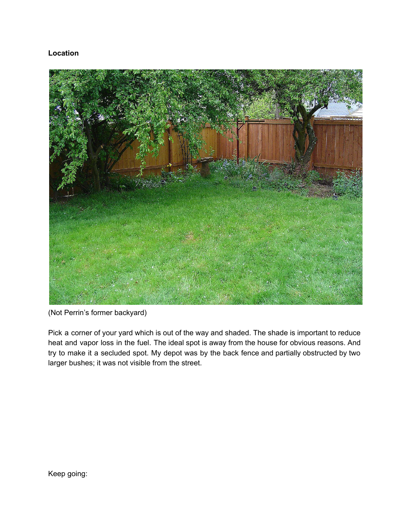## **Location**



(Not Perrin's former backyard)

Pick a corner of your yard which is out of the way and shaded. The shade is important to reduce heat and vapor loss in the fuel. The ideal spot is away from the house for obvious reasons. And try to make it a secluded spot. My depot was by the back fence and partially obstructed by two larger bushes; it was not visible from the street.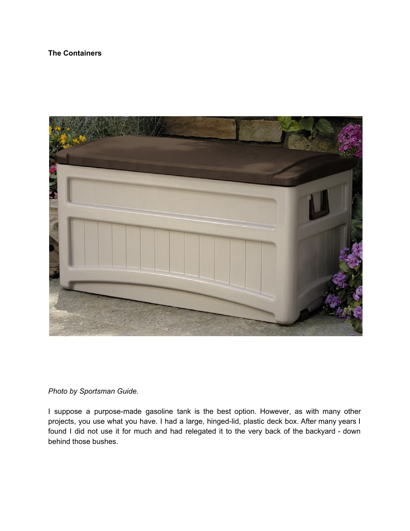## **The Containers**



*Photo by Sportsman Guide.*

I suppose a purpose-made gasoline tank is the best option. However, as with many other projects, you use what you have. I had a large, hinged-lid, plastic deck box. After many years I found I did not use it for much and had relegated it to the very back of the backyard - down behind those bushes.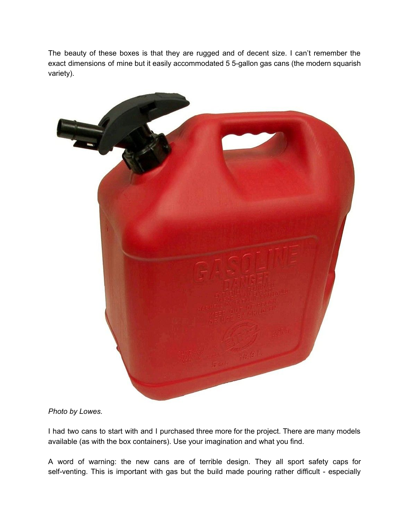The beauty of these boxes is that they are rugged and of decent size. I can't remember the exact dimensions of mine but it easily accommodated 5 5-gallon gas cans (the modern squarish variety).



*Photo by Lowes.*

I had two cans to start with and I purchased three more for the project. There are many models available (as with the box containers). Use your imagination and what you find.

A word of warning: the new cans are of terrible design. They all sport safety caps for self-venting. This is important with gas but the build made pouring rather difficult - especially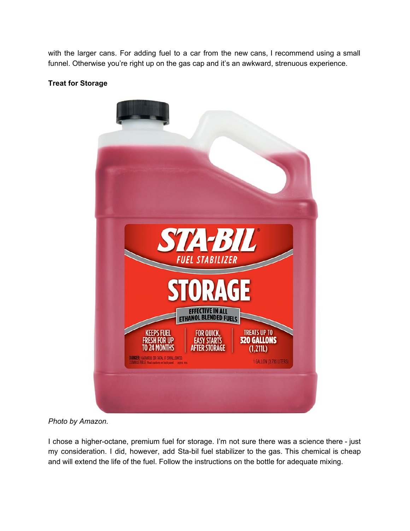with the larger cans. For adding fuel to a car from the new cans, I recommend using a small funnel. Otherwise you're right up on the gas cap and it's an awkward, strenuous experience.

#### **Treat for Storage**



*Photo by Amazon.*

I chose a higher-octane, premium fuel for storage. I'm not sure there was a science there - just my consideration. I did, however, add Sta-bil fuel stabilizer to the gas. This chemical is cheap and will extend the life of the fuel. Follow the instructions on the bottle for adequate mixing.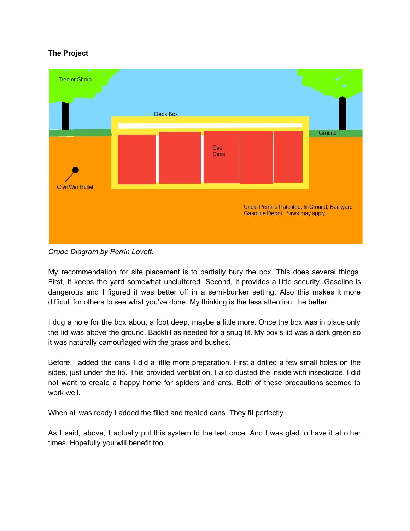## **The Project**



*Crude Diagram by Perrin Lovett.*

My recommendation for site placement is to partially bury the box. This does several things. First, it keeps the yard somewhat uncluttered. Second, it provides a little security. Gasoline is dangerous and I figured it was better off in a semi-bunker setting. Also this makes it more difficult for others to see what you've done. My thinking is the less attention, the better.

I dug a hole for the box about a foot deep, maybe a little more. Once the box was in place only the lid was above the ground. Backfill as needed for a snug fit. My box's lid was a dark green so it was naturally camouflaged with the grass and bushes.

Before I added the cans I did a little more preparation. First a drilled a few small holes on the sides, just under the lip. This provided ventilation. I also dusted the inside with insecticide. I did not want to create a happy home for spiders and ants. Both of these precautions seemed to work well.

When all was ready I added the filled and treated cans. They fit perfectly.

As I said, above, I actually put this system to the test once. And I was glad to have it at other times. Hopefully you will benefit too.